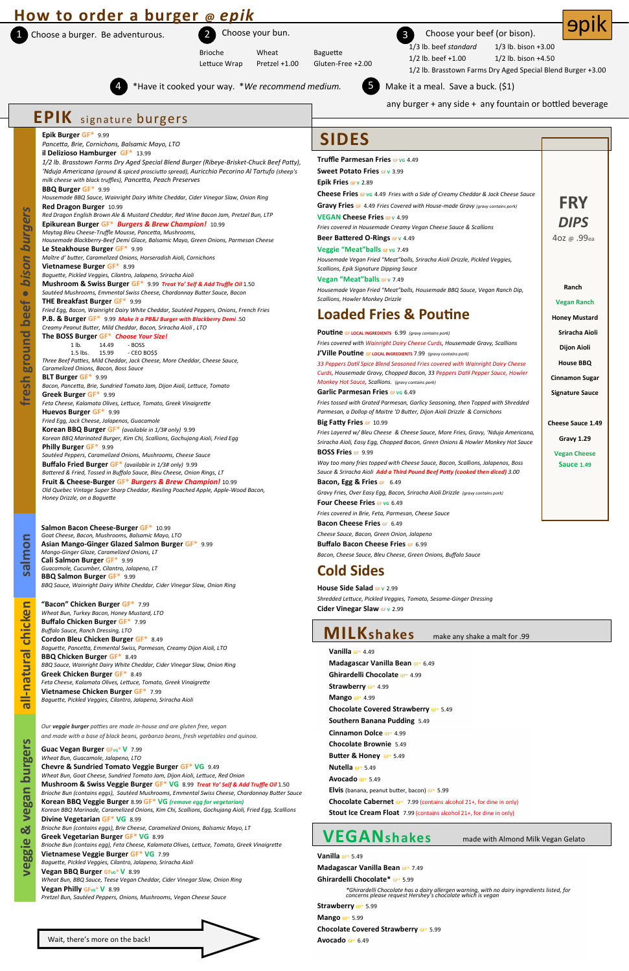## **How to order a burger @** *epik*

1 Choose a burger. Be adventurous.

all-natural chicken



1/3 lb. beef *standard* 1/3 lb. bison +3.00

1/2 lb. beef +1.00 1/2 lb. bison +4.50

Brioche Wheat Baguette Lettuce Wrap Pretzel +1.00 Gluten-Free +2.00

2 Choose your bun. 3 Choose your beef (or bison).

1/2 lb. Brasstown Farms Dry Aged Special Blend Burger +3.00

**9pik** 



Make it a meal. Save a buck. (\$1)

**Southern Banana Pudding** 5.49 **Cinnamon Dolce GF\*** 4.99 **Chocolate Brownie** 5.49 **Butter & Honey GF\*** 5.49 **Nutella GF\*** 5.49 **Avocado GF\*** 5.49 **Elvis** (banana, peanut butter, bacon) **GF\*** 5.99 **Chocolate Cabernet GF\*** 7.99 (contains alcohol 21+, for dine in only) **Stout Ice Cream Float** 7.99 (contains alcohol 21+, for dine in only)

4 \*Have it cooked your way. \**We recommend medium.* 5





any burger + any side + any fountain or bottled beverage

**Guac Vegan Burger GFvG\* V 7.99** *Wheat Bun, Guacamole, Jalapeno, LTO* **Chevre & Sundried Tomato Veggie Burger GF\* VG** 9.49 *Wheat Bun, Goat Cheese, Sundried Tomato Jam, Dijon Aioli, Lettuce, Red Onion* **Mushroom & Swiss Veggie Burger GF\* VG** 8.99 *Treat Yo' Self & Add Truffle Oil* 1.50 *Brioche Bun (contains eggs), Sautéed Mushrooms, Emmental Swiss Cheese, Chardonnay Butter Sauce* **Korean BBQ Veggie Burger** 8.99 **GF\* VG** *(remove egg for vegetarian) Korean BBQ Marinade, Caramelized Onions, Kim Chi, Scallions, Gochujang Aioli, Fried Egg, Scallions* **Divine Vegetarian GF\* VG** 8.99 *Brioche Bun (contains eggs), Brie Cheese, Caramelized Onions, Balsamic Mayo, LT* **Greek Vegetarian Burger GF\* VG** 8.99 *Brioche Bun (contains egg), Feta Cheese, Kalamata Olives, Lettuce, Tomato, Greek Vinaigrette* **Vietnamese Veggie Burger GF\* VG** 7.99 *Baguette, Pickled Veggies, Cilantro, Jalapeno, Sriracha Aioli*  **Vegan BBQ Burger GFVG\* V** 8.99 *Wheat Bun, BBQ Sauce, Teese Vegan Cheddar, Cider Vinegar Slaw, Onion Ring*

**Vegan Philly GF<sub>VG</sub><sup>\*</sup> V 8.99** 

**"Bacon" Chicken Burger GF\*** 7.99 *Wheat Bun, Turkey Bacon, Honey Mustard, LTO* **Buffalo Chicken Burger GF\*** 7.99 *Buffalo Sauce, Ranch Dressing, LTO* **Cordon Bleu Chicken Burger GF\*** 8.49 *Baguette, Pancetta, Emmental Swiss, Parmesan, Creamy Dijon Aioli, LTO* **BBQ Chicken Burger GF\*** 8.49 *BBQ Sauce, Wainright Dairy White Cheddar, Cider Vinegar Slaw, Onion Ring* **Greek Chicken Burger GF\*** 8.49 *Feta Cheese, Kalamata Olives, Lettuce, Tomato, Greek Vinaigrette* **Vietnamese Chicken Burger GF\*** 7.99 *Baguette, Pickled Veggies, Cilantro, Jalapeno, Sriracha Aioli* 

*Our veggie burger patties are made in-house and are gluten free, vegan and made with a base of black beans, garbanzo beans, fresh vegetables and quinoa.*

*Pretzel Bun, Sautéed Peppers, Onions, Mushrooms, Vegan Cheese Sauce*

|                                      | <b>EPIK</b> signature burgers                                                                                                                                                                                                                                                                                                                                                                                                                                                                                                                                                                                                                                                                                                                                                                                                                                                                                                                                                                                                                                                                    |                                                                                                                                                                                                                                                                                                                                                                                                                                                                                                                                                                                                                                                                                                      |                                                   |
|--------------------------------------|--------------------------------------------------------------------------------------------------------------------------------------------------------------------------------------------------------------------------------------------------------------------------------------------------------------------------------------------------------------------------------------------------------------------------------------------------------------------------------------------------------------------------------------------------------------------------------------------------------------------------------------------------------------------------------------------------------------------------------------------------------------------------------------------------------------------------------------------------------------------------------------------------------------------------------------------------------------------------------------------------------------------------------------------------------------------------------------------------|------------------------------------------------------------------------------------------------------------------------------------------------------------------------------------------------------------------------------------------------------------------------------------------------------------------------------------------------------------------------------------------------------------------------------------------------------------------------------------------------------------------------------------------------------------------------------------------------------------------------------------------------------------------------------------------------------|---------------------------------------------------|
|                                      | Epik Burger GF* 9.99<br>Pancetta, Brie, Cornichons, Balsamic Mayo, LTO                                                                                                                                                                                                                                                                                                                                                                                                                                                                                                                                                                                                                                                                                                                                                                                                                                                                                                                                                                                                                           | <b>SIDES</b>                                                                                                                                                                                                                                                                                                                                                                                                                                                                                                                                                                                                                                                                                         |                                                   |
| burgers<br><b>bison</b><br>$\bullet$ | il Delizioso Hamburger GF* 13.99<br>1/2 lb. Brasstown Farms Dry Aged Special Blend Burger (Ribeye-Brisket-Chuck Beef Patty),<br>'Nduja Americana (ground & spiced prosciutto spread), Auricchio Pecorino Al Tartufo (sheep's<br>milk cheese with black truffles), Pancetta, Peach Preserves<br>BBQ Burger GF* 9.99<br>Housemade BBQ Sauce, Wainright Dairy White Cheddar, Cider Vinegar Slaw, Onion Ring<br>Red Dragon Burger 10.99<br>Red Dragon English Brown Ale & Mustard Cheddar, Red Wine Bacon Jam, Pretzel Bun, LTP<br>Epikurean Burger GF* Burgers & Brew Champion! 10.99<br>Maytag Bleu Cheese-Truffle Mousse, Pancetta, Mushrooms,<br>Housemade Blackberry-Beef Demi Glace, Balsamic Mayo, Green Onions, Parmesan Cheese<br>Le Steakhouse Burger GF* 9.99<br>Maître d' butter, Caramelized Onions, Horseradish Aioli, Cornichons<br>Vietnamese Burger GF* 8.99<br>Baguette, Pickled Veggies, Cilantro, Jalapeno, Sriracha Aioli<br>Mushroom & Swiss Burger GF* 9.99 Treat Yo' Self & Add Truffle Oil 1.50<br>Sautéed Mushrooms, Emmental Swiss Cheese, Chardonnay Butter Sauce, Bacon | <b>Truffle Parmesan Fries GF VG 4.49</b><br><b>Sweet Potato Fries GFV 3.99</b><br>Epik Fries GFV 2.89<br><b>Cheese Fries GFVG</b> 4.49 Fries with a Side of Creamy Cheddar & Jack Cheese Sauce<br>Gravy Fries GF 4.49 Fries Covered with House-made Gravy (gravy contains pork)<br><b>VEGAN Cheese Fries GFV 4.99</b><br>Fries covered in Housemade Creamy Vegan Cheese Sauce & Scallions<br>Beer Battered O-Rings GFV 4.49<br>Veggie "Meat" balls GF VG 7.49<br>Housemade Vegan Fried "Meat" balls, Sriracha Aioli Drizzle, Pickled Veggies,<br>Scallions, Epik Signature Dipping Sauce<br>Vegan "Meat" balls GFV 7.49<br>Housemade Vegan Fried "Meat" balls, Housemade BBQ Sauce, Vegan Ranch Dip, | <b>FRY</b><br><b>DIPS</b><br>402 @ .99ea<br>Ranch |
| beef                                 | THE Breakfast Burger GF* 9.99<br>Fried Egg, Bacon, Wainright Dairy White Cheddar, Sautéed Peppers, Onions, French Fries<br>P.B. & Burger GF* 9.99 Make it a PB&J Burger with Blackberry Demi .50                                                                                                                                                                                                                                                                                                                                                                                                                                                                                                                                                                                                                                                                                                                                                                                                                                                                                                 | Scallions, Howler Monkey Drizzle<br><b>Loaded Fries &amp; Poutine</b>                                                                                                                                                                                                                                                                                                                                                                                                                                                                                                                                                                                                                                | <b>Vegan Ranch</b><br><b>Honey Mustard</b>        |
| Bround                               | Creamy Peanut Butter, Mild Cheddar, Bacon, Sriracha Aioli, LTO<br>The BOSS Burger GF* Choose Your Size!<br>$1$ lb.<br>14.49<br>- BOSS<br>1.5 lbs. 15.99<br>- CEO BO\$\$                                                                                                                                                                                                                                                                                                                                                                                                                                                                                                                                                                                                                                                                                                                                                                                                                                                                                                                          | <b>Poutine GF LOCAL INGREDIENTS</b> 6.99 (gravy contains pork)<br>Fries covered with Wainright Dairy Cheese Curds, Housemade Gravy, Scallions<br>J'Ville Poutine GF LOCAL INGREDIENTS 7.99 (gravy contains pork)                                                                                                                                                                                                                                                                                                                                                                                                                                                                                     | Sriracha Aioli<br>Dijon Aioli                     |
|                                      | Three Beef Patties, Mild Cheddar, Jack Cheese, More Cheddar, Cheese Sauce,<br>Caramelized Onions, Bacon, Boss Sauce<br>BLT Burger GF* 9.99                                                                                                                                                                                                                                                                                                                                                                                                                                                                                                                                                                                                                                                                                                                                                                                                                                                                                                                                                       | 33 Peppers Datil Spice Blend Seasoned Fries covered with Wainright Dairy Cheese<br>Curds, Housemade Gravy, Chopped Bacon, 33 Peppers Datil Pepper Sauce, Howler<br>Monkey Hot Sauce, Scallions. (gravy contains pork)                                                                                                                                                                                                                                                                                                                                                                                                                                                                                | <b>House BBQ</b><br><b>Cinnamon Sugar</b>         |
| fresh                                | Bacon, Pancetta, Brie, Sundried Tomato Jam, Dijon Aioli, Lettuce, Tomato<br>Greek Burger GF* 9.99<br>Feta Cheese, Kalamata Olives, Lettuce, Tomato, Greek Vinaigrette                                                                                                                                                                                                                                                                                                                                                                                                                                                                                                                                                                                                                                                                                                                                                                                                                                                                                                                            | <b>Garlic Parmesan Fries GF VG 6.49</b><br>Fries tossed with Grated Parmesan, Garlicy Seasoning, then Topped with Shredded                                                                                                                                                                                                                                                                                                                                                                                                                                                                                                                                                                           | <b>Signature Sauce</b>                            |
|                                      | Huevos Burger GF* 9.99<br>Fried Egg, Jack Cheese, Jalapenos, Guacamole<br>Korean BBQ Burger GF* (available in 1/3# only) 9.99<br>Korean BBQ Marinated Burger, Kim Chi, Scallions, Gochujang Aioli, Fried Egg                                                                                                                                                                                                                                                                                                                                                                                                                                                                                                                                                                                                                                                                                                                                                                                                                                                                                     | Parmesan, a Dollop of Maitre 'D Butter, Dijon Aioli Drizzle & Cornichons<br>Big Fatty Fries GF 10.99<br>Fries Layered w/ Bleu Cheese & Cheese Sauce, More Fries, Gravy, 'Nduja Americana,                                                                                                                                                                                                                                                                                                                                                                                                                                                                                                            | <b>Cheese Sauce 1.49</b><br>Gravy 1.29            |
|                                      | Philly Burger GF* 9.99<br>Sautéed Peppers, Caramelized Onions, Mushrooms, Cheese Sauce<br>Buffalo Fried Burger GF* (available in 1/3# only) 9.99<br>Battered & Fried, Tossed in Buffalo Sauce, Bleu Cheese, Onion Rings, LT<br>Fruit & Cheese-Burger GF* Burgers & Brew Champion! 10.99<br>Old Quebec Vintage Super Sharp Cheddar, Riesling Poached Apple, Apple-Wood Bacon,                                                                                                                                                                                                                                                                                                                                                                                                                                                                                                                                                                                                                                                                                                                     | Sriracha Aioli, Easy Egg, Chopped Bacon, Green Onions & Howler Monkey Hot Sauce<br><b>BOSS Fries GF 9.99</b><br>Way too many fries topped with Cheese Sauce, Bacon, Scallions, Jalapenos, Boss<br>Sauce & Sriracha Aioli Add a Third Pound Beef Patty (cooked then diced) 3.00<br>Bacon, Egg & Fries GF 6.49<br>Gravy Fries, Over Easy Egg, Bacon, Sriracha Aioli Drizzle (gravy contains pork)                                                                                                                                                                                                                                                                                                      | <b>Vegan Cheese</b><br><b>Sauce 1.49</b>          |
|                                      | Honey Drizzle, on a Baguette                                                                                                                                                                                                                                                                                                                                                                                                                                                                                                                                                                                                                                                                                                                                                                                                                                                                                                                                                                                                                                                                     | <b>Four Cheese Fries GF VG 6.49</b><br>Fries covered in Brie, Feta, Parmesan, Cheese Sauce<br><b>Bacon Cheese Fries GF 6.49</b>                                                                                                                                                                                                                                                                                                                                                                                                                                                                                                                                                                      |                                                   |
| $\mathbf{\Xi}$<br>ounles             | Salmon Bacon Cheese-Burger GF* 10.99<br>Goat Cheese, Bacon, Mushrooms, Balsamic Mayo, LTO<br>Asian Mango-Ginger Glazed Salmon Burger GF* 9.99<br>Mango-Ginger Glaze, Caramelized Onions, LT<br>Cali Salmon Burger GF* 9.99                                                                                                                                                                                                                                                                                                                                                                                                                                                                                                                                                                                                                                                                                                                                                                                                                                                                       | Cheese Sauce, Bacon, Green Onion, Jalapeno<br><b>Buffalo Bacon Cheese Fries GF 6.99</b><br>Bacon, Cheese Sauce, Bleu Cheese, Green Onions, Buffalo Sauce                                                                                                                                                                                                                                                                                                                                                                                                                                                                                                                                             |                                                   |
| $\boldsymbol{\omega}$                | Guacamole, Cucumber, Cilantro, Jalapeno, LT<br><b>BBQ Salmon Burger GF* 9.99</b><br>BBQ Sauce, Wainright Dairy White Cheddar, Cider Vinegar Slaw, Onion Ring                                                                                                                                                                                                                                                                                                                                                                                                                                                                                                                                                                                                                                                                                                                                                                                                                                                                                                                                     | <b>Cold Sides</b><br>House Side Salad GFV 2.99                                                                                                                                                                                                                                                                                                                                                                                                                                                                                                                                                                                                                                                       |                                                   |
|                                      |                                                                                                                                                                                                                                                                                                                                                                                                                                                                                                                                                                                                                                                                                                                                                                                                                                                                                                                                                                                                                                                                                                  |                                                                                                                                                                                                                                                                                                                                                                                                                                                                                                                                                                                                                                                                                                      |                                                   |

#### **Vanilla GF\*** 4.49 **Madagascar Vanilla Bean GF\*** 6.49 **Ghirardelli Chocolate GF\*** 4.99 **Strawberry GF\*** 4.99 **Mango GF\*** 4.99 **Chocolate Covered Strawberry GF\*** 5.49 **MILKshakes** make any shake a malt for .99

*Shredded Lettuce, Pickled Veggies, Tomato, Sesame-Ginger Dressing*

**Cider Vinegar Slaw GF <sup>V</sup>** 2.99

**VEGANshakes**

**Vanilla GF\*** 5.49

**Madagascar Vanilla Bean GF\*** 7.49

**Ghirardelli Chocolate\* GF\*** 5.99

*\*Ghirardelli Chocolate has a dairy allergen warning, with no dairy ingredients listed, for concerns please request Hershey's chocolate which is vegan*

**Strawberry GF\*** 5.99

**Mango GF\*** 5.99

**Chocolate Covered Strawberry GF\*** 5.99

**Avocado GF\*** 6.49

made with Almond Milk Vegan Gelato